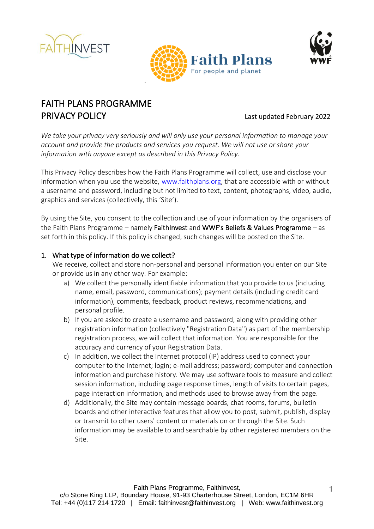





# FAITH PLANS PROGRAMME **PRIVACY POLICY Example 2022** Last updated February 2022

*We take your privacy very seriously and will only use your personal information to manage your account and provide the products and services you request. We will not use or share your information with anyone except as described in this Privacy Policy.* 

This Privacy Policy describes how the Faith Plans Programme will collect, use and disclose your information when you use the website, [www.faithplans.org,](http://www.faithinvest.org/) that are accessible with or without a username and password, including but not limited to text, content, photographs, video, audio, graphics and services (collectively, this 'Site').

By using the Site, you consent to the collection and use of your information by the organisers of the Faith Plans Programme – namely FaithInvest and WWF's Beliefs & Values Programme – as set forth in this policy. If this policy is changed, such changes will be posted on the Site.

### 1. What type of information do we collect?

We receive, collect and store non-personal and personal information you enter on our Site or provide us in any other way. For example:

- a) We collect the personally identifiable information that you provide to us (including name, email, password, communications); payment details (including credit card information), comments, feedback, product reviews, recommendations, and personal profile.
- b) If you are asked to create a username and password, along with providing other registration information (collectively "Registration Data") as part of the membership registration process, we will collect that information. You are responsible for the accuracy and currency of your Registration Data.
- c) In addition, we collect the Internet protocol (IP) address used to connect your computer to the Internet; login; e-mail address; password; computer and connection information and purchase history. We may use software tools to measure and collect session information, including page response times, length of visits to certain pages, page interaction information, and methods used to browse away from the page.
- d) Additionally, the Site may contain message boards, chat rooms, forums, bulletin boards and other interactive features that allow you to post, submit, publish, display or transmit to other users' content or materials on or through the Site. Such information may be available to and searchable by other registered members on the Site.

1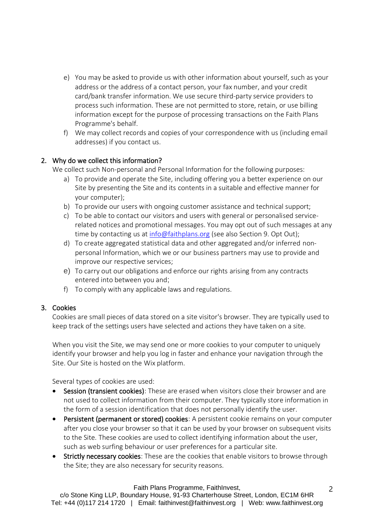- e) You may be asked to provide us with other information about yourself, such as your address or the address of a contact person, your fax number, and your credit card/bank transfer information. We use secure third-party service providers to process such information. These are not permitted to store, retain, or use billing information except for the purpose of processing transactions on the Faith Plans Programme's behalf.
- f) We may collect records and copies of your correspondence with us (including email addresses) if you contact us.

### 2. Why do we collect this information?

We collect such Non-personal and Personal Information for the following purposes:

- a) To provide and operate the Site, including offering you a better experience on our Site by presenting the Site and its contents in a suitable and effective manner for your computer);
- b) To provide our users with ongoing customer assistance and technical support;
- c) To be able to contact our visitors and users with general or personalised servicerelated notices and promotional messages. You may opt out of such messages at any time by contacting us a[t info@faithplans.org](mailto:admin@faithinvest.org?subject=Contact%20from%20www.faithplans.org) (see also Section 9. Opt Out);
- d) To create aggregated statistical data and other aggregated and/or inferred nonpersonal Information, which we or our business partners may use to provide and improve our respective services;
- e) To carry out our obligations and enforce our rights arising from any contracts entered into between you and;
- f) To comply with any applicable laws and regulations.

#### 3. Cookies

Cookies are small pieces of data stored on a site visitor's browser. They are typically used to keep track of the settings users have selected and actions they have taken on a site.

When you visit the Site, we may send one or more cookies to your computer to uniquely identify your browser and help you log in faster and enhance your navigation through the Site. Our Site is hosted on the Wix platform.

Several types of cookies are used:

- Session (transient cookies): These are erased when visitors close their browser and are not used to collect information from their computer. They typically store information in the form of a session identification that does not personally identify the user.
- Persistent (permanent or stored) cookies: A persistent cookie remains on your computer after you close your browser so that it can be used by your browser on subsequent visits to the Site. These cookies are used to collect identifying information about the user, such as web surfing behaviour or user preferences for a particular site.
- Strictly necessary cookies: These are the cookies that enable visitors to browse through the Site; they are also necessary for security reasons.

#### Faith Plans Programme, FaithInvest,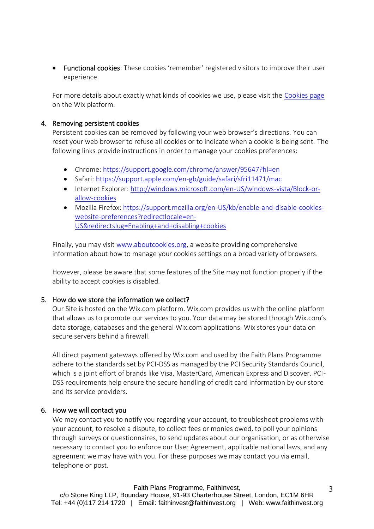• Functional cookies: These cookies 'remember' registered visitors to improve their user experience.

For more details about exactly what kinds of cookies we use, please visit the [Cookies page](https://support.wix.com/en/article/cookies-and-your-wix-site) on the Wix platform.

#### 4. Removing persistent cookies

Persistent cookies can be removed by following your web browser's directions. You can reset your web browser to refuse all cookies or to indicate when a cookie is being sent. The following links provide instructions in order to manage your cookies preferences:

- Chrome: <https://support.google.com/chrome/answer/95647?hl=en>
- Safari: <https://support.apple.com/en-gb/guide/safari/sfri11471/mac>
- Internet Explorer: [http://windows.microsoft.com/en-US/windows-vista/Block-or](http://windows.microsoft.com/en-US/windows-vista/Block-or-allow-cookies)[allow-cookies](http://windows.microsoft.com/en-US/windows-vista/Block-or-allow-cookies)
- Mozilla Firefox: [https://support.mozilla.org/en-US/kb/enable-and-disable-cookies](https://support.mozilla.org/en-US/kb/enable-and-disable-cookies-website-preferences?redirectlocale=en-US&redirectslug=Enabling+and+disabling+cookies)[website-preferences?redirectlocale=en-](https://support.mozilla.org/en-US/kb/enable-and-disable-cookies-website-preferences?redirectlocale=en-US&redirectslug=Enabling+and+disabling+cookies)[US&redirectslug=Enabling+and+disabling+cookies](https://support.mozilla.org/en-US/kb/enable-and-disable-cookies-website-preferences?redirectlocale=en-US&redirectslug=Enabling+and+disabling+cookies)

Finally, you may visit [www.aboutcookies.org,](http://www.aboutcookies.org/) a website providing comprehensive information about how to manage your cookies settings on a broad variety of browsers.

However, please be aware that some features of the Site may not function properly if the ability to accept cookies is disabled.

#### 5. How do we store the information we collect?

Our Site is hosted on the Wix.com platform. Wix.com provides us with the online platform that allows us to promote our services to you. Your data may be stored through Wix.com's data storage, databases and the general Wix.com applications. Wix stores your data on secure servers behind a firewall.

All direct payment gateways offered by Wix.com and used by the Faith Plans Programme adhere to the standards set by PCI-DSS as managed by the PCI Security Standards Council, which is a joint effort of brands like Visa, MasterCard, American Express and Discover. PCI-DSS requirements help ensure the secure handling of credit card information by our store and its service providers.

#### 6. How we will contact you

We may contact you to notify you regarding your account, to troubleshoot problems with your account, to resolve a dispute, to collect fees or monies owed, to poll your opinions through surveys or questionnaires, to send updates about our organisation, or as otherwise necessary to contact you to enforce our User Agreement, applicable national laws, and any agreement we may have with you. For these purposes we may contact you via email, telephone or post.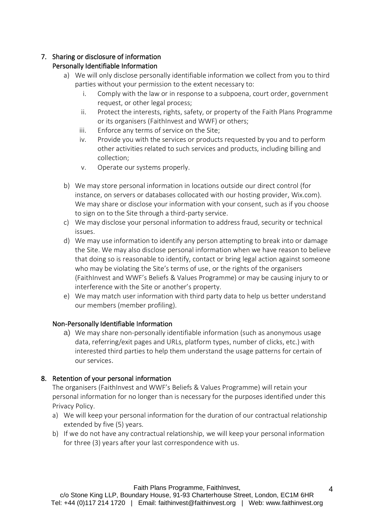# 7. Sharing or disclosure of information

# Personally Identifiable Information

- a) We will only disclose personally identifiable information we collect from you to third parties without your permission to the extent necessary to:
	- i. Comply with the law or in response to a subpoena, court order, government request, or other legal process;
	- ii. Protect the interests, rights, safety, or property of the Faith Plans Programme or its organisers (FaithInvest and WWF) or others;
	- iii. Enforce any terms of service on the Site;
	- iv. Provide you with the services or products requested by you and to perform other activities related to such services and products, including billing and collection;
	- v. Operate our systems properly.
- b) We may store personal information in locations outside our direct control (for instance, on servers or databases collocated with our hosting provider, Wix.com). We may share or disclose your information with your consent, such as if you choose to sign on to the Site through a third-party service.
- c) We may disclose your personal information to address fraud, security or technical issues.
- d) We may use information to identify any person attempting to break into or damage the Site. We may also disclose personal information when we have reason to believe that doing so is reasonable to identify, contact or bring legal action against someone who may be violating the Site's terms of use, or the rights of the organisers (FaithInvest and WWF's Beliefs & Values Programme) or may be causing injury to or interference with the Site or another's property.
- e) We may match user information with third party data to help us better understand our members (member profiling).

## Non-Personally Identifiable Information

a) We may share non-personally identifiable information (such as anonymous usage data, referring/exit pages and URLs, platform types, number of clicks, etc.) with interested third parties to help them understand the usage patterns for certain of our services.

# 8. Retention of your personal information

The organisers (FaithInvest and WWF's Beliefs & Values Programme) will retain your personal information for no longer than is necessary for the purposes identified under this Privacy Policy.

- a) We will keep your personal information for the duration of our contractual relationship extended by five (5) years.
- b) If we do not have any contractual relationship, we will keep your personal information for three (3) years after your last correspondence with us.